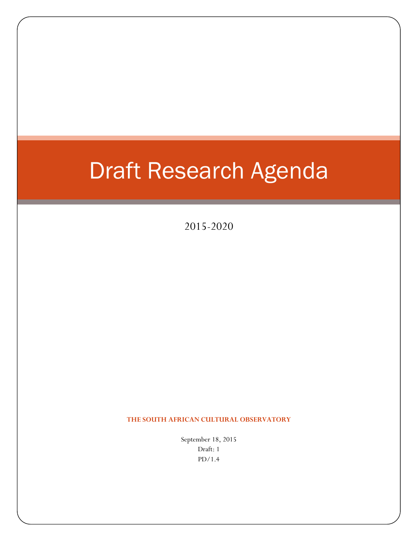# Draft Research Agenda

2015-2020

**THE SOUTH AFRICAN CULTURAL OBSERVATORY**

September 18, 2015 Draft: 1 PD/1.4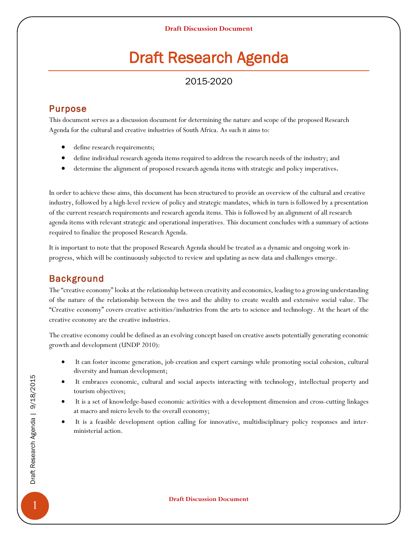# Draft Research Agenda

# 2015-2020

# Purpose

This document serves as a discussion document for determining the nature and scope of the proposed Research Agenda for the cultural and creative industries of South Africa. As such it aims to:

- define research requirements;
- define individual research agenda items required to address the research needs of the industry; and
- determine the alignment of proposed research agenda items with strategic and policy imperatives.

In order to achieve these aims, this document has been structured to provide an overview of the cultural and creative industry, followed by a high-level review of policy and strategic mandates, which in turn is followed by a presentation of the current research requirements and research agenda items. This is followed by an alignment of all research agenda items with relevant strategic and operational imperatives. This document concludes with a summary of actions required to finalize the proposed Research Agenda.

It is important to note that the proposed Research Agenda should be treated as a dynamic and ongoing work inprogress, which will be continuously subjected to review and updating as new data and challenges emerge.

# Background

The "creative economy" looks at the relationship between creativity and economics, leading to a growing understanding of the nature of the relationship between the two and the ability to create wealth and extensive social value. The "Creative economy" covers creative activities/industries from the arts to science and technology. At the heart of the creative economy are the creative industries.

The creative economy could be defined as an evolving concept based on creative assets potentially generating economic growth and development (UNDP 2010):

- It can foster income generation, job creation and expert earnings while promoting social cohesion, cultural diversity and human development;
- It embraces economic, cultural and social aspects interacting with technology, intellectual property and tourism objectives;
- It is a set of knowledge-based economic activities with a development dimension and cross-cutting linkages at macro and micro levels to the overall economy;
- It is a feasible development option calling for innovative, multidisciplinary policy responses and interministerial action.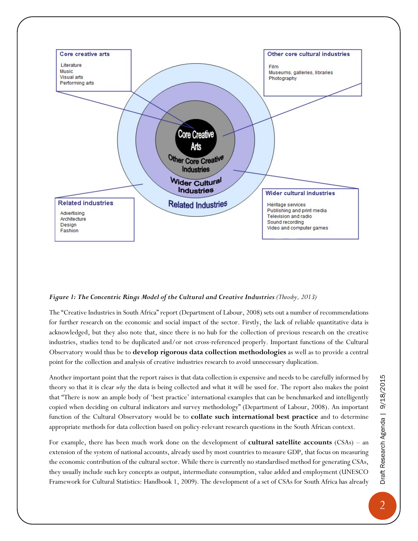

#### *Figure 1: The Concentric Rings Model of the Cultural and Creative Industries (Throsby, 2013)*

The "Creative Industries in South Africa" report (Department of Labour, 2008) sets out a number of recommendations for further research on the economic and social impact of the sector. Firstly, the lack of reliable quantitative data is acknowledged, but they also note that, since there is no hub for the collection of previous research on the creative industries, studies tend to be duplicated and/or not cross-referenced properly. Important functions of the Cultural Observatory would thus be to **develop rigorous data collection methodologies** as well as to provide a central point for the collection and analysis of creative industries research to avoid unnecessary duplication.

Another important point that the report raises is that data collection is expensive and needs to be carefully informed by theory so that it is clear *why* the data is being collected and what it will be used for. The report also makes the point that "There is now an ample body of 'best practice' international examples that can be benchmarked and intelligently copied when deciding on cultural indicators and survey methodology" (Department of Labour, 2008). An important function of the Cultural Observatory would be to **collate such international best practice** and to determine appropriate methods for data collection based on policy-relevant research questions in the South African context.

For example, there has been much work done on the development of **cultural satellite accounts** (CSAs) – an extension of the system of national accounts, already used by most countries to measure GDP, that focus on measuring the economic contribution of the cultural sector. While there is currently no standardised method for generating CSAs, they usually include such key concepts as output, intermediate consumption, value added and employment (UNESCO Framework for Cultural Statistics: Handbook 1, 2009). The development of a set of CSAs for South Africa has already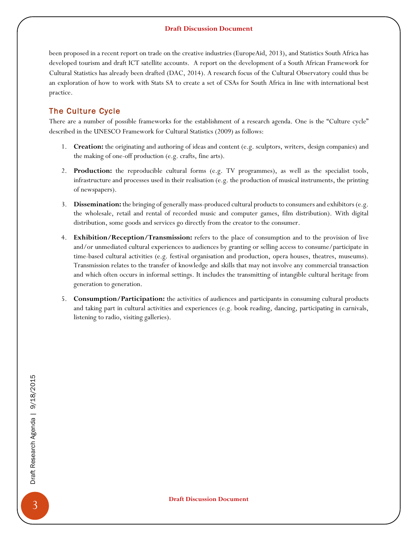been proposed in a recent report on trade on the creative industries (EuropeAid, 2013), and Statistics South Africa has developed tourism and draft ICT satellite accounts. A report on the development of a South African Framework for Cultural Statistics has already been drafted (DAC, 2014). A research focus of the Cultural Observatory could thus be an exploration of how to work with Stats SA to create a set of CSAs for South Africa in line with international best practice.

### The Culture Cycle

There are a number of possible frameworks for the establishment of a research agenda. One is the "Culture cycle" described in the UNESCO Framework for Cultural Statistics (2009) as follows:

- 1. **Creation:** the originating and authoring of ideas and content (e.g. sculptors, writers, design companies) and the making of one-off production (e.g. crafts, fine arts).
- 2. **Production:** the reproducible cultural forms (e.g. TV programmes), as well as the specialist tools, infrastructure and processes used in their realisation (e.g. the production of musical instruments, the printing of newspapers).
- 3. **Dissemination:** the bringing of generally mass-produced cultural products to consumers and exhibitors (e.g. the wholesale, retail and rental of recorded music and computer games, film distribution). With digital distribution, some goods and services go directly from the creator to the consumer.
- 4. **Exhibition/Reception/Transmission:** refers to the place of consumption and to the provision of live and/or unmediated cultural experiences to audiences by granting or selling access to consume/participate in time-based cultural activities (e.g. festival organisation and production, opera houses, theatres, museums). Transmission relates to the transfer of knowledge and skills that may not involve any commercial transaction and which often occurs in informal settings. It includes the transmitting of intangible cultural heritage from generation to generation.
- 5. **Consumption/Participation:** the activities of audiences and participants in consuming cultural products and taking part in cultural activities and experiences (e.g. book reading, dancing, participating in carnivals, listening to radio, visiting galleries).

**Draft Discussion Document**<br> **But the Search Agenda | 9/18/2016**<br> **Draft Discussion Document**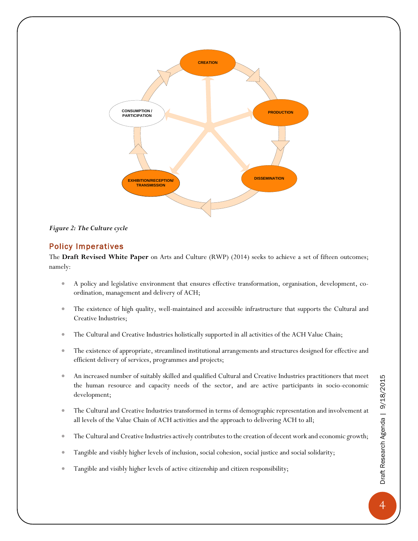

#### *Figure 2: The Culture cycle*

#### Policy Imperatives

The **Draft Revised White Paper** on Arts and Culture (RWP) (2014) seeks to achieve a set of fifteen outcomes; namely:

- A policy and legislative environment that ensures effective transformation, organisation, development, coordination, management and delivery of ACH;
- The existence of high quality, well-maintained and accessible infrastructure that supports the Cultural and Creative Industries;
- The Cultural and Creative Industries holistically supported in all activities of the ACH Value Chain;
- The existence of appropriate, streamlined institutional arrangements and structures designed for effective and efficient delivery of services, programmes and projects;
- An increased number of suitably skilled and qualified Cultural and Creative Industries practitioners that meet the human resource and capacity needs of the sector, and are active participants in socio-economic development;
- The Cultural and Creative Industries transformed in terms of demographic representation and involvement at all levels of the Value Chain of ACH activities and the approach to delivering ACH to all;
- The Cultural and Creative Industries actively contributes to the creation of decent work and economic growth;
- Tangible and visibly higher levels of inclusion, social cohesion, social justice and social solidarity;
- Tangible and visibly higher levels of active citizenship and citizen responsibility;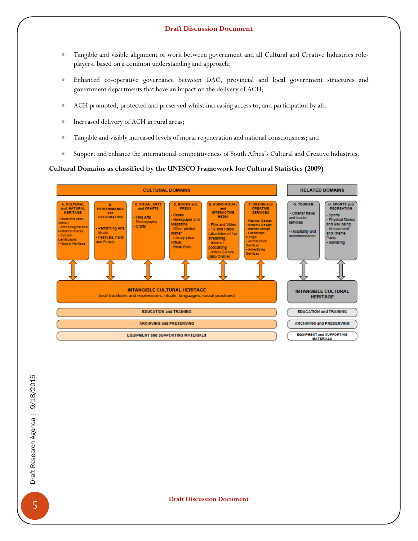- Tangible and visible alignment of work between government and all Cultural and Creative Industries roleplayers, based on a common understanding and approach;
- Enhanced co-operative governance between DAC, provincial and local government structures and government departments that have an impact on the delivery of ACH;
- ACH promoted, protected and preserved whilst increasing access to, and participation by all;
- Increased delivery of ACH in rural areas;
- Tangible and visibly increased levels of moral regeneration and national consciousness; and
- Support and enhance the international competitiveness of South Africa's Cultural and Creative Industries.

#### **Cultural Domains as classified by the UNESCO Framework for Cultural Statistics (2009)**

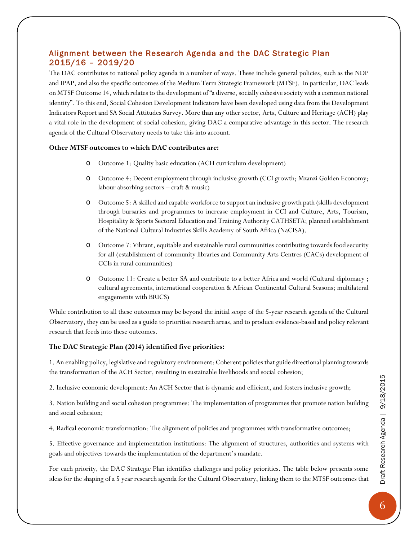### Alignment between the Research Agenda and the DAC Strategic Plan 2015/16 – 2019/20

The DAC contributes to national policy agenda in a number of ways. These include general policies, such as the NDP and IPAP, and also the specific outcomes of the Medium Term Strategic Framework (MTSF). In particular, DAC leads on MTSF Outcome 14, which relates to the development of "a diverse, socially cohesive society with a common national identity". To this end, Social Cohesion Development Indicators have been developed using data from the Development Indicators Report and SA Social Attitudes Survey. More than any other sector, Arts, Culture and Heritage (ACH) play a vital role in the development of social cohesion, giving DAC a comparative advantage in this sector. The research agenda of the Cultural Observatory needs to take this into account.

#### **Other MTSF outcomes to which DAC contributes are:**

- o Outcome 1: Quality basic education (ACH curriculum development)
- o Outcome 4: Decent employment through inclusive growth (CCI growth; Mzanzi Golden Economy; labour absorbing sectors – craft & music)
- o Outcome 5: A skilled and capable workforce to support an inclusive growth path (skills development through bursaries and programmes to increase employment in CCI and Culture, Arts, Tourism, Hospitality & Sports Sectoral Education and Training Authority CATHSETA; planned establishment of the National Cultural Industries Skills Academy of South Africa (NaCISA).
- o Outcome 7: Vibrant, equitable and sustainable rural communities contributing towards food security for all (establishment of community libraries and Community Arts Centres (CACs) development of CCIs in rural communities)
- o Outcome 11: Create a better SA and contribute to a better Africa and world (Cultural diplomacy ; cultural agreements, international cooperation & African Continental Cultural Seasons; multilateral engagements with BRICS)

While contribution to all these outcomes may be beyond the initial scope of the 5-year research agenda of the Cultural Observatory, they can be used as a guide to prioritise research areas, and to produce evidence-based and policy relevant research that feeds into these outcomes.

#### **The DAC Strategic Plan (2014) identified five priorities:**

1. An enabling policy, legislative and regulatory environment: Coherent policies that guide directional planning towards the transformation of the ACH Sector, resulting in sustainable livelihoods and social cohesion;

2. Inclusive economic development: An ACH Sector that is dynamic and efficient, and fosters inclusive growth;

3. Nation building and social cohesion programmes: The implementation of programmes that promote nation building and social cohesion;

4. Radical economic transformation: The alignment of policies and programmes with transformative outcomes;

5. Effective governance and implementation institutions: The alignment of structures, authorities and systems with goals and objectives towards the implementation of the department's mandate.

For each priority, the DAC Strategic Plan identifies challenges and policy priorities. The table below presents some ideas for the shaping of a 5 year research agenda for the Cultural Observatory, linking them to the MTSF outcomes that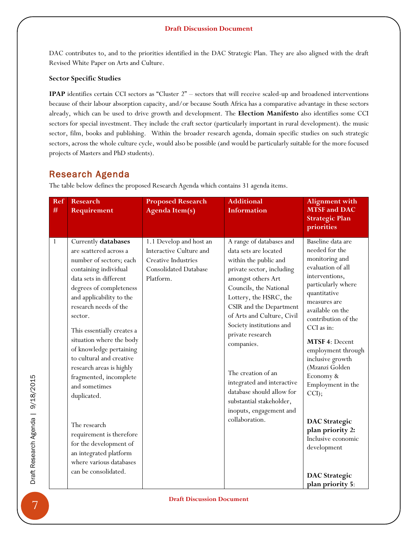DAC contributes to, and to the priorities identified in the DAC Strategic Plan. They are also aligned with the draft Revised White Paper on Arts and Culture.

#### **Sector Specific Studies**

**IPAP** identifies certain CCI sectors as "Cluster 2" – sectors that will receive scaled-up and broadened interventions because of their labour absorption capacity, and/or because South Africa has a comparative advantage in these sectors already, which can be used to drive growth and development. The **Election Manifesto** also identifies some CCI sectors for special investment. They include the craft sector (particularly important in rural development). the music sector, film, books and publishing. Within the broader research agenda, domain specific studies on such strategic sectors, across the whole culture cycle, would also be possible (and would be particularly suitable for the more focused projects of Masters and PhD students).

# Research Agenda

The table below defines the proposed Research Agenda which contains 31 agenda items.

| Ref<br>$\#$ | <b>Research</b><br>Requirement                                                                                                                                                                                                                                                                                                                                                                                                                                                                                                                                                   | <b>Proposed Research</b><br><b>Agenda Item(s)</b>                                                                      | <b>Additional</b><br><b>Information</b>                                                                                                                                                                                                                                                                                                                                                                                                                            | <b>Alignment</b> with<br><b>MTSF</b> and DAC<br><b>Strategic Plan</b><br>priorities                                                                                                                                                                                                                                                                                                                                                                               |
|-------------|----------------------------------------------------------------------------------------------------------------------------------------------------------------------------------------------------------------------------------------------------------------------------------------------------------------------------------------------------------------------------------------------------------------------------------------------------------------------------------------------------------------------------------------------------------------------------------|------------------------------------------------------------------------------------------------------------------------|--------------------------------------------------------------------------------------------------------------------------------------------------------------------------------------------------------------------------------------------------------------------------------------------------------------------------------------------------------------------------------------------------------------------------------------------------------------------|-------------------------------------------------------------------------------------------------------------------------------------------------------------------------------------------------------------------------------------------------------------------------------------------------------------------------------------------------------------------------------------------------------------------------------------------------------------------|
| 1           | Currently databases<br>are scattered across a<br>number of sectors; each<br>containing individual<br>data sets in different<br>degrees of completeness<br>and applicability to the<br>research needs of the<br>sector.<br>This essentially creates a<br>situation where the body<br>of knowledge pertaining<br>to cultural and creative<br>research areas is highly<br>fragmented, incomplete<br>and sometimes<br>duplicated.<br>The research<br>requirement is therefore<br>for the development of<br>an integrated platform<br>where various databases<br>can be consolidated. | 1.1 Develop and host an<br>Interactive Culture and<br>Creative Industries<br><b>Consolidated Database</b><br>Platform. | A range of databases and<br>data sets are located<br>within the public and<br>private sector, including<br>amongst others Art<br>Councils, the National<br>Lottery, the HSRC, the<br>CSIR and the Department<br>of Arts and Culture, Civil<br>Society institutions and<br>private research<br>companies.<br>The creation of an<br>integrated and interactive<br>database should allow for<br>substantial stakeholder,<br>inoputs, engagement and<br>collaboration. | Baseline data are<br>needed for the<br>monitoring and<br>evaluation of all<br>interventions,<br>particularly where<br>quantitative<br>measures are<br>available on the<br>contribution of the<br>CCI as in:<br>MTSF 4: Decent<br>employment through<br>inclusive growth<br>(Mzanzi Golden<br>Economy &<br>Employment in the<br>CCI);<br><b>DAC</b> Strategic<br>plan priority 2:<br>Inclusive economic<br>development<br><b>DAC</b> Strategic<br>plan priority 5: |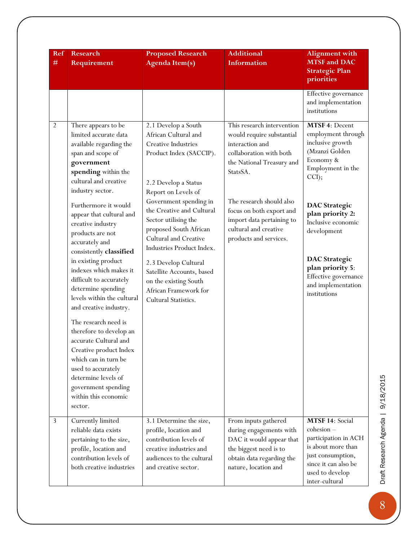| Ref<br>#       | <b>Research</b><br>Requirement                                                                                                                                                                                                                                                                                                                                                                                                                                                                                                                                                           | <b>Proposed Research</b><br><b>Agenda Item(s)</b>                                                                                                                                                                                                                                                                                                                                                                                          | <b>Additional</b><br><b>Information</b>                                                                                                                                                                                                                                                | <b>Alignment with</b><br><b>MTSF</b> and DAC<br><b>Strategic Plan</b><br>priorities                                                                                                                                                                                                                              |
|----------------|------------------------------------------------------------------------------------------------------------------------------------------------------------------------------------------------------------------------------------------------------------------------------------------------------------------------------------------------------------------------------------------------------------------------------------------------------------------------------------------------------------------------------------------------------------------------------------------|--------------------------------------------------------------------------------------------------------------------------------------------------------------------------------------------------------------------------------------------------------------------------------------------------------------------------------------------------------------------------------------------------------------------------------------------|----------------------------------------------------------------------------------------------------------------------------------------------------------------------------------------------------------------------------------------------------------------------------------------|------------------------------------------------------------------------------------------------------------------------------------------------------------------------------------------------------------------------------------------------------------------------------------------------------------------|
|                |                                                                                                                                                                                                                                                                                                                                                                                                                                                                                                                                                                                          |                                                                                                                                                                                                                                                                                                                                                                                                                                            |                                                                                                                                                                                                                                                                                        | Effective governance<br>and implementation<br>institutions                                                                                                                                                                                                                                                       |
| $\overline{2}$ | There appears to be<br>limited accurate data<br>available regarding the<br>span and scope of<br>government<br>spending within the<br>cultural and creative<br>industry sector.<br>Furthermore it would<br>appear that cultural and<br>creative industry<br>products are not<br>accurately and<br>consistently classified<br>in existing product<br>indexes which makes it<br>difficult to accurately<br>determine spending<br>levels within the cultural<br>and creative industry.<br>The research need is<br>therefore to develop an<br>accurate Cultural and<br>Creative product Index | 2.1 Develop a South<br>African Cultural and<br>Creative Industries<br>Product Index (SACCIP).<br>2.2 Develop a Status<br>Report on Levels of<br>Government spending in<br>the Creative and Cultural<br>Sector utilising the<br>proposed South African<br>Cultural and Creative<br>Industries Product Index.<br>2.3 Develop Cultural<br>Satellite Accounts, based<br>on the existing South<br>African Framework for<br>Cultural Statistics. | This research intervention<br>would require substantial<br>interaction and<br>collaboration with both<br>the National Treasury and<br>StatsSA.<br>The research should also<br>focus on both export and<br>import data pertaining to<br>cultural and creative<br>products and services. | MTSF 4: Decent<br>employment through<br>inclusive growth<br>(Mzanzi Golden<br>Economy &<br>Employment in the<br>CCI);<br><b>DAC</b> Strategic<br>plan priority 2:<br>Inclusive economic<br>development<br><b>DAC</b> Strategic<br>plan priority 5:<br>Effective governance<br>and implementation<br>institutions |
|                | which can in turn be<br>used to accurately<br>determine levels of<br>government spending<br>within this economic<br>sector.                                                                                                                                                                                                                                                                                                                                                                                                                                                              |                                                                                                                                                                                                                                                                                                                                                                                                                                            |                                                                                                                                                                                                                                                                                        |                                                                                                                                                                                                                                                                                                                  |
| 3              | Currently limited<br>reliable data exists<br>pertaining to the size,<br>profile, location and<br>contribution levels of<br>both creative industries                                                                                                                                                                                                                                                                                                                                                                                                                                      | 3.1 Determine the size,<br>profile, location and<br>contribution levels of<br>creative industries and<br>audiences to the cultural<br>and creative sector.                                                                                                                                                                                                                                                                                 | From inputs gathered<br>during engagements with<br>DAC it would appear that<br>the biggest need is to<br>obtain data regarding the<br>nature, location and                                                                                                                             | MTSF 14: Social<br>$cohesion -$<br>participation in ACH<br>is about more than<br>just consumption,<br>since it can also be<br>used to develop<br>inter-cultural                                                                                                                                                  |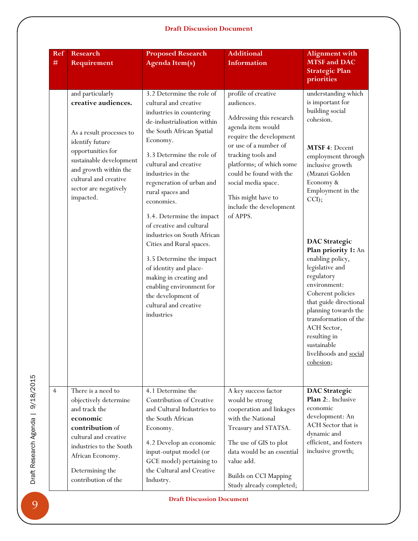| Ref<br>#       | <b>Research</b><br>Requirement                                                                                                                                                                                                 | <b>Proposed Research</b><br><b>Agenda Item(s)</b>                                                                                                                                                                                                                                                                                                                                                                                                                                                                                                                                             | <b>Additional</b><br>Information                                                                                                                                                                                                                                                                        | <b>Alignment with</b><br><b>MTSF</b> and DAC<br><b>Strategic Plan</b><br>priorities                                                                                                                                                                                                                                                                                                                                                                                                                         |
|----------------|--------------------------------------------------------------------------------------------------------------------------------------------------------------------------------------------------------------------------------|-----------------------------------------------------------------------------------------------------------------------------------------------------------------------------------------------------------------------------------------------------------------------------------------------------------------------------------------------------------------------------------------------------------------------------------------------------------------------------------------------------------------------------------------------------------------------------------------------|---------------------------------------------------------------------------------------------------------------------------------------------------------------------------------------------------------------------------------------------------------------------------------------------------------|-------------------------------------------------------------------------------------------------------------------------------------------------------------------------------------------------------------------------------------------------------------------------------------------------------------------------------------------------------------------------------------------------------------------------------------------------------------------------------------------------------------|
|                | and particularly<br>creative audiences.<br>As a result processes to<br>identify future<br>opportunities for<br>sustainable development<br>and growth within the<br>cultural and creative<br>sector are negatively<br>impacted. | 3.2 Determine the role of<br>cultural and creative<br>industries in countering<br>de-industrialisation within<br>the South African Spatial<br>Economy.<br>3.3 Determine the role of<br>cultural and creative<br>industries in the<br>regeneration of urban and<br>rural spaces and<br>economies.<br>3.4. Determine the impact<br>of creative and cultural<br>industries on South African<br>Cities and Rural spaces.<br>3.5 Determine the impact<br>of identity and place-<br>making in creating and<br>enabling environment for<br>the development of<br>cultural and creative<br>industries | profile of creative<br>audiences.<br>Addressing this research<br>agenda item would<br>require the development<br>or use of a number of<br>tracking tools and<br>platforms; of which some<br>could be found with the<br>social media space.<br>This might have to<br>include the development<br>of APPS. | understanding which<br>is important for<br>building social<br>cohesion.<br>MTSF 4: Decent<br>employment through<br>inclusive growth<br>(Mzanzi Golden<br>Economy &<br>Employment in the<br>$CCI$ ;<br><b>DAC</b> Strategic<br>Plan priority 1: An<br>enabling policy,<br>legislative and<br>regulatory<br>environment:<br>Coherent policies<br>that guide directional<br>planning towards the<br>transformation of the<br>ACH Sector,<br>resulting in<br>sustainable<br>livelihoods and social<br>cohesion; |
| $\overline{4}$ | There is a need to<br>objectively determine<br>and track the<br>economic<br>contribution of<br>cultural and creative<br>industries to the South<br>African Economy.<br>Determining the<br>contribution of the                  | 4.1 Determine the<br>Contribution of Creative<br>and Cultural Industries to<br>the South African<br>Economy.<br>4.2 Develop an economic<br>input-output model (or<br>GCE model) pertaining to<br>the Cultural and Creative<br>Industry.                                                                                                                                                                                                                                                                                                                                                       | A key success factor<br>would be strong<br>cooperation and linkages<br>with the National<br>Treasury and STATSA.<br>The use of GIS to plot<br>data would be an essential<br>value add.<br><b>Builds on CCI Mapping</b><br>Study already completed;                                                      | <b>DAC</b> Strategic<br>Plan 2:. Inclusive<br>economic<br>development: An<br>ACH Sector that is<br>dynamic and<br>efficient, and fosters<br>inclusive growth;                                                                                                                                                                                                                                                                                                                                               |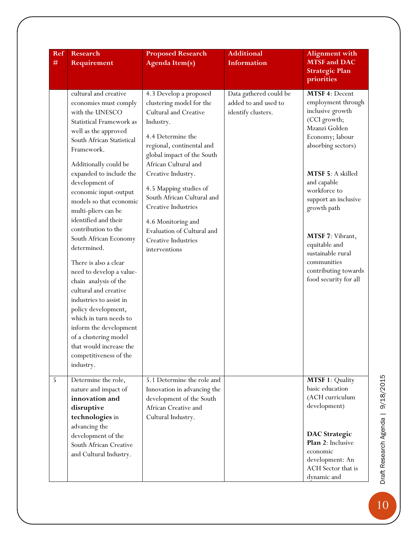| <b>Ref</b> | <b>Research</b>                                                                                                                                                                                                                                                                                                                                                                                                                                                                                                                                                                                                                                                                                                         | <b>Proposed Research</b>                                                                                                                                                                                                                                                                                                                                                                                 | <b>Additional</b>                                                    | <b>Alignment with</b>                                                                                                                                                                                                                                                                                                                                   |
|------------|-------------------------------------------------------------------------------------------------------------------------------------------------------------------------------------------------------------------------------------------------------------------------------------------------------------------------------------------------------------------------------------------------------------------------------------------------------------------------------------------------------------------------------------------------------------------------------------------------------------------------------------------------------------------------------------------------------------------------|----------------------------------------------------------------------------------------------------------------------------------------------------------------------------------------------------------------------------------------------------------------------------------------------------------------------------------------------------------------------------------------------------------|----------------------------------------------------------------------|---------------------------------------------------------------------------------------------------------------------------------------------------------------------------------------------------------------------------------------------------------------------------------------------------------------------------------------------------------|
| $\#$       | Requirement                                                                                                                                                                                                                                                                                                                                                                                                                                                                                                                                                                                                                                                                                                             | <b>Agenda Item(s)</b>                                                                                                                                                                                                                                                                                                                                                                                    | <b>Information</b>                                                   | <b>MTSF</b> and DAC<br><b>Strategic Plan</b><br>priorities                                                                                                                                                                                                                                                                                              |
|            | cultural and creative<br>economies must comply<br>with the UNESCO<br><b>Statistical Framework as</b><br>well as the approved<br>South African Statistical<br>Framework.<br>Additionally could be<br>expanded to include the<br>development of<br>economic input-output<br>models so that economic<br>multi-pliers can be<br>identified and their<br>contribution to the<br>South African Economy<br>determined.<br>There is also a clear<br>need to develop a value-<br>chain analysis of the<br>cultural and creative<br>industries to assist in<br>policy development,<br>which in turn needs to<br>inform the development<br>of a clustering model<br>that would increase the<br>competitiveness of the<br>industry. | 4.3 Develop a proposed<br>clustering model for the<br><b>Cultural and Creative</b><br>Industry.<br>4.4 Determine the<br>regional, continental and<br>global impact of the South<br>African Cultural and<br>Creative Industry.<br>4.5 Mapping studies of<br>South African Cultural and<br>Creative Industries<br>4.6 Monitoring and<br>Evaluation of Cultural and<br>Creative Industries<br>interventions | Data gathered could be<br>added to and used to<br>identify clusters. | MTSF 4: Decent<br>employment through<br>inclusive growth<br>(CCI growth;<br>Mzanzi Golden<br>Economy; labour<br>absorbing sectors)<br>MTSF 5: A skilled<br>and capable<br>workforce to<br>support an inclusive<br>growth path<br>MTSF 7: Vibrant,<br>equitable and<br>sustainable rural<br>communities<br>contributing towards<br>food security for all |
| 5          | Determine the role,<br>nature and impact of<br>innovation and<br>disruptive<br>technologies in<br>advancing the<br>development of the<br>South African Creative<br>and Cultural Industry.                                                                                                                                                                                                                                                                                                                                                                                                                                                                                                                               | 5.1 Determine the role and<br>Innovation in advancing the<br>development of the South<br>African Creative and<br>Cultural Industry.                                                                                                                                                                                                                                                                      |                                                                      | <b>MTSF 1: Quality</b><br>basic education<br>(ACH curriculum<br>development)<br><b>DAC</b> Strategic<br>Plan 2: Inclusive<br>economic<br>development: An<br>ACH Sector that is<br>dynamic and                                                                                                                                                           |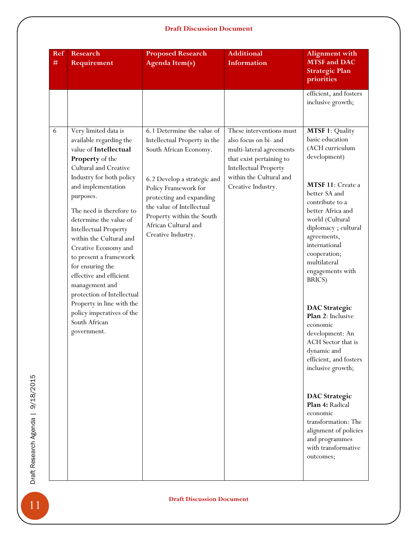| Ref<br>$\#$ | <b>Research</b><br>Requirement                                                                                                                                                                                                                                                                                                                                                                                                                                                                                                                  | <b>Proposed Research</b><br><b>Agenda Item(s)</b>                                                                                                                                                                                                                               | <b>Additional</b><br>Information                                                                                                                                                           | <b>Alignment with</b><br><b>MTSF</b> and DAC<br><b>Strategic Plan</b><br>priorities                                                                                                                                                                                                                                                                                                                                                                                                                                                                                                                                             |
|-------------|-------------------------------------------------------------------------------------------------------------------------------------------------------------------------------------------------------------------------------------------------------------------------------------------------------------------------------------------------------------------------------------------------------------------------------------------------------------------------------------------------------------------------------------------------|---------------------------------------------------------------------------------------------------------------------------------------------------------------------------------------------------------------------------------------------------------------------------------|--------------------------------------------------------------------------------------------------------------------------------------------------------------------------------------------|---------------------------------------------------------------------------------------------------------------------------------------------------------------------------------------------------------------------------------------------------------------------------------------------------------------------------------------------------------------------------------------------------------------------------------------------------------------------------------------------------------------------------------------------------------------------------------------------------------------------------------|
|             |                                                                                                                                                                                                                                                                                                                                                                                                                                                                                                                                                 |                                                                                                                                                                                                                                                                                 |                                                                                                                                                                                            | efficient, and fosters<br>inclusive growth;                                                                                                                                                                                                                                                                                                                                                                                                                                                                                                                                                                                     |
| 6           | Very limited data is<br>available regarding the<br>value of Intellectual<br>Property of the<br>Cultural and Creative<br>Industry for both policy<br>and implementation<br>purposes.<br>The need is therefore to<br>determine the value of<br><b>Intellectual Property</b><br>within the Cultural and<br>Creative Economy and<br>to present a framework<br>for ensuring the<br>effective and efficient<br>management and<br>protection of Intellectual<br>Property in line with the<br>policy imperatives of the<br>South African<br>government. | 6.1 Determine the value of<br>Intellectual Property in the<br>South African Economy.<br>6.2 Develop a strategic and<br>Policy Framework for<br>protecting and expanding<br>the value of Intellectual<br>Property within the South<br>African Cultural and<br>Creative Industry. | These interventions must<br>also focus on bi- and<br>multi-lateral agreements<br>that exist pertaining to<br><b>Intellectual Property</b><br>within the Cultural and<br>Creative Industry. | <b>MTSF 1: Quality</b><br>basic education<br>(ACH curriculum<br>development)<br>MTSF 11: Create a<br>better SA and<br>contribute to a<br>better Africa and<br>world (Cultural<br>diplomacy; cultural<br>agreements,<br>international<br>cooperation;<br>multilateral<br>engagements with<br>BRICS)<br><b>DAC</b> Strategic<br>Plan 2: Inclusive<br>economic<br>development: An<br>ACH Sector that is<br>dynamic and<br>efficient, and fosters<br>inclusive growth;<br><b>DAC</b> Strategic<br>Plan 4: Radical<br>economic<br>transformation: The<br>alignment of policies<br>and programmes<br>with transformative<br>outcomes; |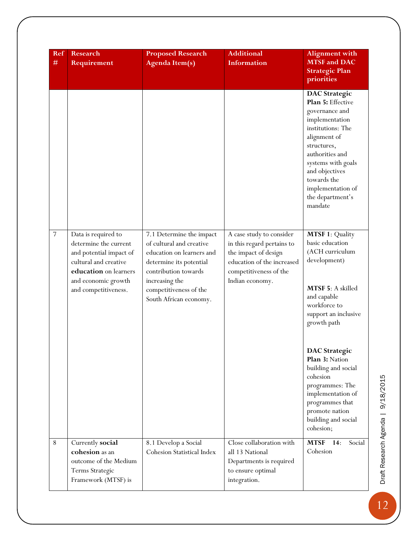| Ref            | <b>Research</b>                                                                                                                                                          | <b>Proposed Research</b>                                                                                                                                                                                   | <b>Additional</b>                                                                                                                                         | <b>Alignment with</b>                                                                                                                                                                                                                                           |
|----------------|--------------------------------------------------------------------------------------------------------------------------------------------------------------------------|------------------------------------------------------------------------------------------------------------------------------------------------------------------------------------------------------------|-----------------------------------------------------------------------------------------------------------------------------------------------------------|-----------------------------------------------------------------------------------------------------------------------------------------------------------------------------------------------------------------------------------------------------------------|
| #              | Requirement                                                                                                                                                              | <b>Agenda Item(s)</b>                                                                                                                                                                                      | <b>Information</b>                                                                                                                                        | <b>MTSF</b> and DAC<br><b>Strategic Plan</b><br>priorities                                                                                                                                                                                                      |
|                |                                                                                                                                                                          |                                                                                                                                                                                                            |                                                                                                                                                           | <b>DAC</b> Strategic<br>Plan 5: Effective<br>governance and<br>implementation<br>institutions: The<br>alignment of<br>structures,<br>authorities and<br>systems with goals<br>and objectives<br>towards the<br>implementation of<br>the department's<br>mandate |
| $\overline{7}$ | Data is required to<br>determine the current<br>and potential impact of<br>cultural and creative<br>education on learners<br>and economic growth<br>and competitiveness. | 7.1 Determine the impact<br>of cultural and creative<br>education on learners and<br>determine its potential<br>contribution towards<br>increasing the<br>competitiveness of the<br>South African economy. | A case study to consider<br>in this regard pertains to<br>the impact of design<br>education of the increased<br>competitiveness of the<br>Indian economy. | <b>MTSF 1: Quality</b><br>basic education<br>(ACH curriculum<br>development)<br>MTSF 5: A skilled<br>and capable<br>workforce to<br>support an inclusive<br>growth path                                                                                         |
|                |                                                                                                                                                                          |                                                                                                                                                                                                            |                                                                                                                                                           | <b>DAC</b> Strategic<br>Plan 3: Nation<br>building and social<br>cohesion<br>programmes: The<br>implementation of<br>programmes that<br>promote nation<br>building and social<br>cohesion;                                                                      |
| $\,8\,$        | Currently social<br>cohesion as an<br>outcome of the Medium<br>Terms Strategic<br>Framework (MTSF) is                                                                    | 8.1 Develop a Social<br>Cohesion Statistical Index                                                                                                                                                         | Close collaboration with<br>all 13 National<br>Departments is required<br>to ensure optimal<br>integration.                                               | <b>MTSF</b> 14:<br>Social<br>Cohesion                                                                                                                                                                                                                           |

Draft Research Agenda | 9/18/2015 Draft Research Agenda | 9/18/2015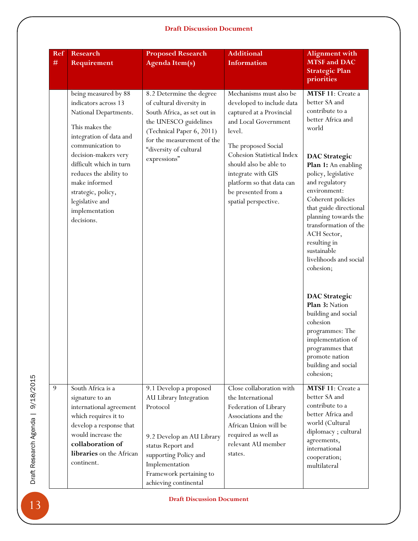| Ref<br># | <b>Research</b><br>Requirement                                                                                                                                                                                                                                                                                | <b>Proposed Research</b><br><b>Agenda Item(s)</b>                                                                                                                                                                 | <b>Additional</b><br><b>Information</b>                                                                                                                                                                                                                                                             | <b>Alignment with</b><br><b>MTSF</b> and DAC<br><b>Strategic Plan</b><br>priorities                                                                                                                                                                                                                                                                                                                                                                                                                                                                               |
|----------|---------------------------------------------------------------------------------------------------------------------------------------------------------------------------------------------------------------------------------------------------------------------------------------------------------------|-------------------------------------------------------------------------------------------------------------------------------------------------------------------------------------------------------------------|-----------------------------------------------------------------------------------------------------------------------------------------------------------------------------------------------------------------------------------------------------------------------------------------------------|-------------------------------------------------------------------------------------------------------------------------------------------------------------------------------------------------------------------------------------------------------------------------------------------------------------------------------------------------------------------------------------------------------------------------------------------------------------------------------------------------------------------------------------------------------------------|
|          | being measured by 88<br>indicators across 13<br>National Departments.<br>This makes the<br>integration of data and<br>communication to<br>decision-makers very<br>difficult which in turn<br>reduces the ability to<br>make informed<br>strategic, policy,<br>legislative and<br>implementation<br>decisions. | 8.2 Determine the degree<br>of cultural diversity in<br>South Africa, as set out in<br>the UNESCO guidelines<br>(Technical Paper 6, 2011)<br>for the measurement of the<br>"diversity of cultural<br>expressions" | Mechanisms must also be<br>developed to include data<br>captured at a Provincial<br>and Local Government<br>level.<br>The proposed Social<br>Cohesion Statistical Index<br>should also be able to<br>integrate with GIS<br>platform so that data can<br>be presented from a<br>spatial perspective. | MTSF 11: Create a<br>better SA and<br>contribute to a<br>better Africa and<br>world<br><b>DAC</b> Strategic<br>Plan 1: An enabling<br>policy, legislative<br>and regulatory<br>environment:<br>Coherent policies<br>that guide directional<br>planning towards the<br>transformation of the<br>ACH Sector,<br>resulting in<br>sustainable<br>livelihoods and social<br>cohesion;<br><b>DAC</b> Strategic<br>Plan 3: Nation<br>building and social<br>cohesion<br>programmes: The<br>implementation of<br>programmes that<br>promote nation<br>building and social |
| 9        | South Africa is a<br>signature to an<br>international agreement<br>which requires it to<br>develop a response that<br>would increase the<br>collaboration of<br>libraries on the African<br>continent.                                                                                                        | 9.1 Develop a proposed<br>AU Library Integration<br>Protocol<br>9.2 Develop an AU Library<br>status Report and<br>supporting Policy and<br>Implementation<br>Framework pertaining to<br>achieving continental     | Close collaboration with<br>the International<br>Federation of Library<br>Associations and the<br>African Union will be<br>required as well as<br>relevant AU member<br>states.                                                                                                                     | cohesion;<br>MTSF 11: Create a<br>better SA and<br>contribute to a<br>better Africa and<br>world (Cultural<br>diplomacy; cultural<br>agreements,<br>international<br>cooperation;<br>multilateral                                                                                                                                                                                                                                                                                                                                                                 |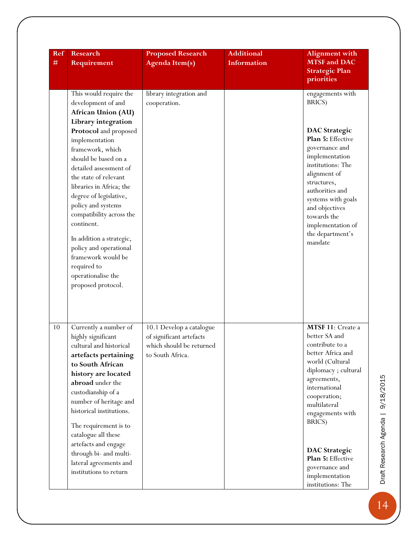| Ref<br>$\#$ | <b>Research</b><br>Requirement                                                                                                                                                                                                                                                                                                                                                                                                                                                                   | <b>Proposed Research</b><br><b>Agenda Item(s)</b>                                                    | <b>Additional</b><br><b>Information</b> | <b>Alignment</b> with<br><b>MTSF</b> and DAC<br><b>Strategic Plan</b><br>priorities                                                                                                                                                                                                                                      |
|-------------|--------------------------------------------------------------------------------------------------------------------------------------------------------------------------------------------------------------------------------------------------------------------------------------------------------------------------------------------------------------------------------------------------------------------------------------------------------------------------------------------------|------------------------------------------------------------------------------------------------------|-----------------------------------------|--------------------------------------------------------------------------------------------------------------------------------------------------------------------------------------------------------------------------------------------------------------------------------------------------------------------------|
|             | This would require the<br>development of and<br>African Union (AU)<br>Library integration<br>Protocol and proposed<br>implementation<br>framework, which<br>should be based on a<br>detailed assessment of<br>the state of relevant<br>libraries in Africa; the<br>degree of legislative,<br>policy and systems<br>compatibility across the<br>continent.<br>In addition a strategic,<br>policy and operational<br>framework would be<br>required to<br>operationalise the<br>proposed protocol. | library integration and<br>cooperation.                                                              |                                         | engagements with<br>BRICS)<br><b>DAC</b> Strategic<br>Plan 5: Effective<br>governance and<br>implementation<br>institutions: The<br>alignment of<br>structures,<br>authorities and<br>systems with goals<br>and objectives<br>towards the<br>implementation of<br>the department's<br>mandate                            |
| 10          | Currently a number of<br>highly significant<br>cultural and historical<br>artefacts pertaining<br>to South African<br>history are located<br>abroad under the<br>custodianship of a<br>number of heritage and<br>historical institutions.<br>The requirement is to<br>catalogue all these<br>artefacts and engage<br>through bi- and multi-<br>lateral agreements and<br>institutions to return                                                                                                  | 10.1 Develop a catalogue<br>of significant artefacts<br>which should be returned<br>to South Africa. |                                         | MTSF 11: Create a<br>better SA and<br>contribute to a<br>better Africa and<br>world (Cultural<br>diplomacy; cultural<br>agreements,<br>international<br>cooperation;<br>multilateral<br>engagements with<br>BRICS)<br><b>DAC</b> Strategic<br>Plan 5: Effective<br>governance and<br>implementation<br>institutions: The |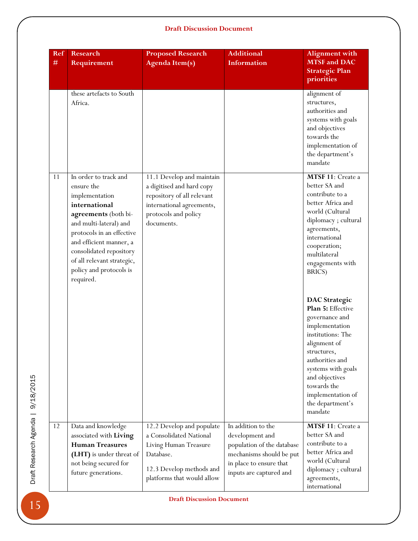| Ref<br># | <b>Research</b><br>Requirement                                                                                                                                                                                                                                                    | <b>Proposed Research</b><br><b>Agenda Item(s)</b>                                                                                                       | <b>Additional</b><br><b>Information</b>                                                                                                               | <b>Alignment</b> with<br><b>MTSF</b> and DAC<br><b>Strategic Plan</b><br>priorities                                                                                                                                                                             |
|----------|-----------------------------------------------------------------------------------------------------------------------------------------------------------------------------------------------------------------------------------------------------------------------------------|---------------------------------------------------------------------------------------------------------------------------------------------------------|-------------------------------------------------------------------------------------------------------------------------------------------------------|-----------------------------------------------------------------------------------------------------------------------------------------------------------------------------------------------------------------------------------------------------------------|
|          | these artefacts to South<br>Africa.                                                                                                                                                                                                                                               |                                                                                                                                                         |                                                                                                                                                       | alignment of<br>structures,<br>authorities and<br>systems with goals<br>and objectives<br>towards the<br>implementation of<br>the department's<br>mandate                                                                                                       |
| 11       | In order to track and<br>ensure the<br>implementation<br>international<br>agreements (both bi-<br>and multi-lateral) and<br>protocols in an effective<br>and efficient manner, a<br>consolidated repository<br>of all relevant strategic,<br>policy and protocols is<br>required. | 11.1 Develop and maintain<br>a digitised and hard copy<br>repository of all relevant<br>international agreements,<br>protocols and policy<br>documents. |                                                                                                                                                       | MTSF 11: Create a<br>better SA and<br>contribute to a<br>better Africa and<br>world (Cultural<br>diplomacy; cultural<br>agreements,<br>international<br>cooperation;<br>multilateral<br>engagements with<br>BRICS)                                              |
|          |                                                                                                                                                                                                                                                                                   |                                                                                                                                                         |                                                                                                                                                       | <b>DAC</b> Strategic<br>Plan 5: Effective<br>governance and<br>implementation<br>institutions: The<br>alignment of<br>structures,<br>authorities and<br>systems with goals<br>and objectives<br>towards the<br>implementation of<br>the department's<br>mandate |
| 12       | Data and knowledge<br>associated with Living<br><b>Human Treasures</b><br>(LHT) is under threat of<br>not being secured for<br>future generations.                                                                                                                                | 12.2 Develop and populate<br>a Consolidated National<br>Living Human Treasure<br>Database.<br>12.3 Develop methods and<br>platforms that would allow    | In addition to the<br>development and<br>population of the database<br>mechanisms should be put<br>in place to ensure that<br>inputs are captured and | MTSF 11: Create a<br>better SA and<br>contribute to a<br>better Africa and<br>world (Cultural<br>diplomacy; cultural<br>agreements,<br>international                                                                                                            |

Draft Research Agenda | 9/18/2015 Draft Research Agenda | 9/18/2015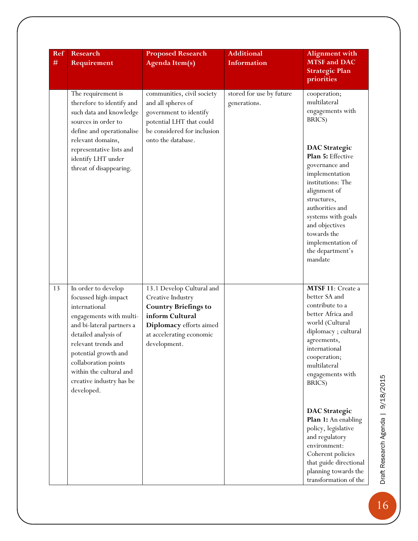| Ref<br>$\#$ | <b>Research</b><br>Requirement                                                                                                                                                                                                                                                           | <b>Proposed Research</b><br><b>Agenda Item(s)</b>                                                                                                                       | <b>Additional</b><br><b>Information</b>  | <b>Alignment with</b><br><b>MTSF</b> and DAC<br><b>Strategic Plan</b><br>priorities                                                                                                                                                                                                                                                                                                                                        |
|-------------|------------------------------------------------------------------------------------------------------------------------------------------------------------------------------------------------------------------------------------------------------------------------------------------|-------------------------------------------------------------------------------------------------------------------------------------------------------------------------|------------------------------------------|----------------------------------------------------------------------------------------------------------------------------------------------------------------------------------------------------------------------------------------------------------------------------------------------------------------------------------------------------------------------------------------------------------------------------|
|             | The requirement is<br>therefore to identify and<br>such data and knowledge<br>sources in order to<br>define and operationalise<br>relevant domains,<br>representative lists and<br>identify LHT under<br>threat of disappearing.                                                         | communities, civil society<br>and all spheres of<br>government to identify<br>potential LHT that could<br>be considered for inclusion<br>onto the database.             | stored for use by future<br>generations. | cooperation;<br>multilateral<br>engagements with<br>BRICS)<br><b>DAC</b> Strategic<br>Plan 5: Effective<br>governance and<br>implementation<br>institutions: The<br>alignment of<br>structures,<br>authorities and<br>systems with goals<br>and objectives<br>towards the<br>implementation of<br>the department's<br>mandate                                                                                              |
| 13          | In order to develop<br>focussed high-impact<br>international<br>engagements with multi-<br>and bi-lateral partners a<br>detailed analysis of<br>relevant trends and<br>potential growth and<br>collaboration points<br>within the cultural and<br>creative industry has be<br>developed. | 13.1 Develop Cultural and<br>Creative Industry<br><b>Country Briefings to</b><br>inform Cultural<br>Diplomacy efforts aimed<br>at accelerating economic<br>development. |                                          | MTSF 11: Create a<br>better SA and<br>contribute to a<br>better Africa and<br>world (Cultural<br>diplomacy; cultural<br>agreements,<br>international<br>cooperation;<br>multilateral<br>engagements with<br>BRICS)<br><b>DAC</b> Strategic<br>Plan 1: An enabling<br>policy, legislative<br>and regulatory<br>environment:<br>Coherent policies<br>that guide directional<br>planning towards the<br>transformation of the |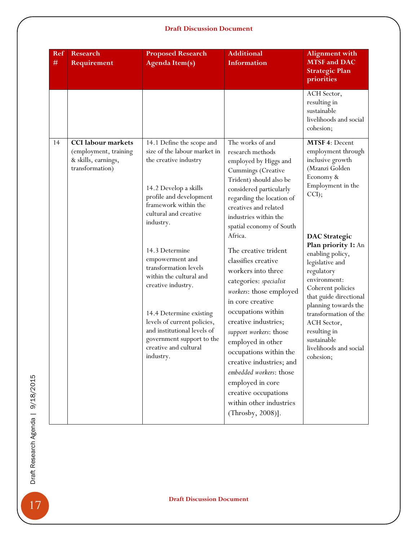| ACH Sector,<br>resulting in<br>sustainable<br>cohesion;<br>The works of and<br>research methods<br>employed by Higgs and<br>Cummings (Creative<br>Economy &<br>Trident) should also be<br>considered particularly<br>CCI);<br>regarding the location of<br>creatives and related<br>industries within the<br>spatial economy of South<br>Africa.<br>The creative trident<br>classifies creative<br>legislative and<br>workers into three<br>regulatory | livelihoods and social<br>MTSF 4: Decent<br>employment through<br>inclusive growth<br>(Mzanzi Golden<br>Employment in the<br><b>DAC</b> Strategic<br>Plan priority 1: An<br>enabling policy, |
|--------------------------------------------------------------------------------------------------------------------------------------------------------------------------------------------------------------------------------------------------------------------------------------------------------------------------------------------------------------------------------------------------------------------------------------------------------|----------------------------------------------------------------------------------------------------------------------------------------------------------------------------------------------|
|                                                                                                                                                                                                                                                                                                                                                                                                                                                        |                                                                                                                                                                                              |
| environment:<br>categories: specialist<br>workers: those employed<br>in core creative<br>occupations within<br>creative industries;<br>ACH Sector,<br>resulting in<br>support workers: those<br>sustainable<br>employed in other<br>occupations within the<br>cohesion;<br>creative industries; and<br>embedded workers: those<br>employed in core<br>creative occupations<br>within other industries<br>(Throsby, 2008)].                             | Coherent policies<br>that guide directional<br>planning towards the<br>transformation of the<br>livelihoods and social                                                                       |
|                                                                                                                                                                                                                                                                                                                                                                                                                                                        | <b>Draft Discussion Document</b>                                                                                                                                                             |